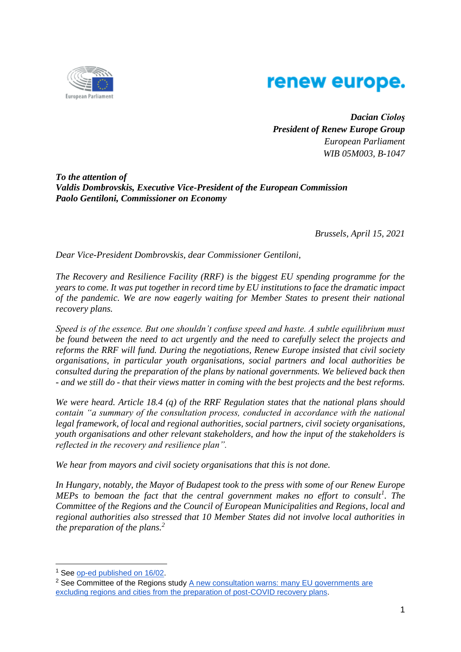

## renew europe.

*Dacian Cioloş President of Renew Europe Group European Parliament WIB 05M003, B-1047*

*To the attention of Valdis Dombrovskis, Executive Vice-President of the European Commission Paolo Gentiloni, Commissioner on Economy*

*Brussels, April 15, 2021*

*Dear Vice-President Dombrovskis, dear Commissioner Gentiloni,*

*The Recovery and Resilience Facility (RRF) is the biggest EU spending programme for the years to come. It was put together in record time by EU institutions to face the dramatic impact of the pandemic. We are now eagerly waiting for Member States to present their national recovery plans.* 

*Speed is of the essence. But one shouldn't confuse speed and haste. A subtle equilibrium must be found between the need to act urgently and the need to carefully select the projects and reforms the RRF will fund. During the negotiations, Renew Europe insisted that civil society organisations, in particular youth organisations, social partners and local authorities be consulted during the preparation of the plans by national governments. We believed back then - and we still do - that their views matter in coming with the best projects and the best reforms.* 

*We were heard. Article 18.4 (q) of the RRF Regulation states that the national plans should contain "a summary of the consultation process, conducted in accordance with the national legal framework, of local and regional authorities, social partners, civil society organisations, youth organisations and other relevant stakeholders, and how the input of the stakeholders is reflected in the recovery and resilience plan".* 

*We hear from mayors and civil society organisations that this is not done.* 

*In Hungary, notably, the Mayor of Budapest took to the press with some of our Renew Europe MEPs to bemoan the fact that the central government makes no effort to consult<sup>1</sup> . The Committee of the Regions and the Council of European Municipalities and Regions, local and regional authorities also stressed that 10 Member States did not involve local authorities in the preparation of the plans.<sup>2</sup>*

-

<sup>&</sup>lt;sup>1</sup> See [op-ed published on 16/02.](https://www.euractiv.com/section/economy-jobs/opinion/a-recovery-plan-for-the-people-and-by-the-people/)

 $2$  See Committee of the Regions study  $\underline{A}$  new consultation warns: many EU governments are [excluding regions and cities from the preparation of post-COVID recovery plans.](https://cor.europa.eu/en/news/Pages/post-COVID-recovery-plans-.aspx)